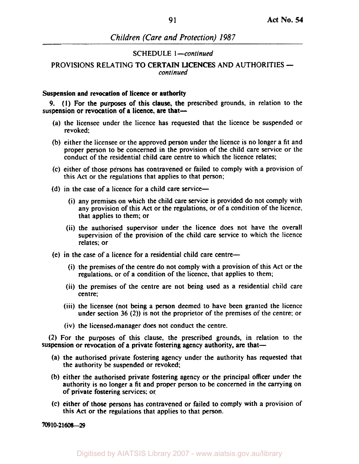## SCHEDULE 1-continued

## continued PROVISIONS RELATING TO CERTAIN LICENCES AND AUTHORITIES

#### **Suspension and revocation of licence or authority**

suspension or revocation of a licence, are that-*9.* (I) For the purposes of this clause, the prescribed grounds, in relation to the

- (a) the licensee under the licence has requested that the licence be suspended or revoked;
- (b) either the licensee or the approved person under the licence is no longer a fit and proper person to be concerned in the provision of the child care service or the conduct of the residential child care centre to which the licence relates;
- (c) either of those persons has contravened or failed to comply with a provision of this Act or the regulations that applies to that person;
- (d) in the case of a licence for a child care service-
	- (i) any premises on which the child care service is provided do not comply with any provision of this Act or the regulations, or of a condition of the licence, that applies to them; or
	- (ii) the authorised supervisor under the licence does not have the overall supervision of the provision of the child care service to which the licence relates; or
- (e) in the case of a licence for a residential child care centre-
	- (i) the premises of the centre do not comply with a provision of this Act or the regulations, or of a condition of the licence, that applies to them;
	- (ii) the premises of the centre are not being used as a residential child care centre;
	- (iii) the licensee (not being a person deemed to have been granted the licence under section 36 (2)) is not the proprietor of the premises of the centre; or
	- (iv) the licensed manager does not conduct the centre.

**(2)** For the purposes of this clause, the prescribed grounds, in relation to the suspension or revocation of a private fostering agency authority, are that-

- (a) the authorised private fostering agency under the authority has requested that the authority be suspended or revoked;
- (b) either the authorised private fostering agency or the principal officer under the authority is no longer a fit and proper person to be concerned in the carrying on of private fostering services; or
- (c) either of those persons has contravened or failed to comply with a provision of this Act or the regulations that applies to that person.

*709* **10-21608-29**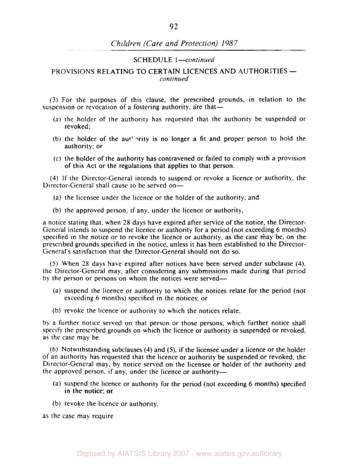#### SCHEDULE *I-continued*

### *continued*  PROVISIONS RELATING TO CERTAIN LICENCES AND AUTHORITIES

(3) For the purposes of this clause, the prescribed grounds, in relation to the suspension or revocation of a fostering authority, are that-

- (a) the holder of the authority has requested that the authority be suspended or revoked;
- (b) the holder of the authority is no longer a fit and proper person to hold the authority; or
- (c) the holder of the authority has contravened or failed to comply with a provision of this Act or the regulations that applies to that person.

**(4)** If the Director-General intends to suspend or revoke a licence or authority, the Director-General shall cause to be served on-

- (a) the licensee under the licence or the holder of the authority; and
- (b) the approved person, if any, under the licence or authority,

a notice stating that. when *28* days have expired after service of the notice, the Director-General intends to suspend the licence or authority for a period (not exceeding *6* months) specified in the notice or to revoke the licence or authority, as the case may be, on the prescribed grounds specified in the notice, unless it has been established to the Director-General's satisfaction that the Director-General should not do so.

*(5)* When *28* days have expired after notices have been served under subclause **(4).**  the Director-General may, after considering any submissions made during that period by the person or persons on whom the notices were served—

- **(a)** suspend the licence or authority to which the notices relate for the period (not exceeding 6 months) specified in the notices; or
- (b) revoke the licence or authority to which the notices relate,

by a further notice served on that person or those persons, which further notice shall specify the prescribed grounds on which the licence or authority **is** suspended or revoked, as the case may be.

(6) Notwithstanding subclauses (4) and *(S),* if the licensee under a licence or the holder of an authority has requested that the licence or authority be suspended or revoked, the Director-General may, by notice served on the licensee or holder of the authority and the approved person, if any, under the licence or authority-

- (a) suspend the licence or authority for the period (not exceeding *6* months) specified in the notice; or
- (b) revoke the licence or authority,

as the case may require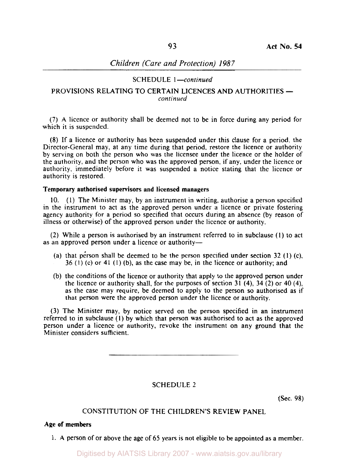## **SCHEDULE** *I-continued*

## *continued*  **PROVISIONS RELATING** TO **CERTAIN LICENCES AND AUTHORITIES**

**(7) A** licence or authority shall be deemed not to be in force during any period for which it is suspended.

**(8)** If a licence or authority has been suspended under this clause for a period, the Director-General may, at any time during that period, restore the licence or authority by serving on both the person who was the licensee under the licence or the holder of the authority, and the person who was the approved person, if any, under the licence or authority, immediately before it was suspended a notice stating that the licence or authority is restored.

### **Temporary authorised supervisors and licensed managers**

**(1)** The Minister may, by an instrument in writing. authorise a person specified 10. in the instrument to act as the approved person under a licence or private fostering agency authority for a period so specified that occurs during an absence (by reason of illness or otherwise) of the approved person under the licence or authority.

**(2)** While a person is authorised by an instrument referred to in subclause **(1)** to act as an approved person under a licence or authority-

- (a) that person shall be deemed to be the person specified under section **32 (1)** (c), **36 (1)** (c) or **41 (1)** (b), as the case may be, in the licence or authority; and
- (b) the conditions of the licence or authority that apply to the approved person under the licence or authority shall, for the purposes of section **31 (4), 34 (2) or 40 (4),**  as the case may require, be deemed to apply to the person **so** authorised as if that person were the approved person under the licence or authority.

**(3)** The Minister may, by notice served on the person specified in an instrument referred to in subclause (I) by which that person was authorised to act as the approved person under a licence or authority, revoke the instrument on any ground that the Minister considers sufficient.

**SCHEDULE** 2

(Sec. 98)

# **CONSTITUTION OF THE CHILDREN'S REVIEW PANEL**

## **Age of members**

**1. A** person of or above the age of 65 years is not eligible to be appointed as a member.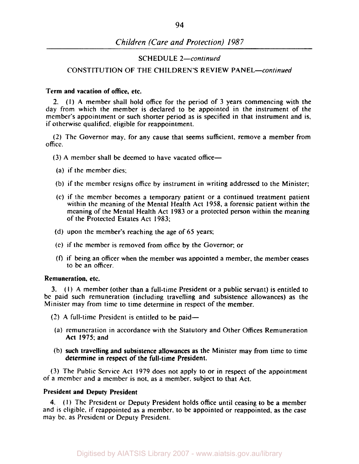### SCHEDULE 2-continued

### CONSTITUTION OF THE CHILDREN'S REVIEW PANEL-continued

### Term and vacation of office, etc.

(I) A member shall hold office for the period of 3 years commencing with the *2.*  day from which the member is declared to be appointed in the instrument of the member's appointment or such shorter period as is specified in that instrument and is, if otherwise qualified. eligible for reappointment.

(2) The Governor may. for any cause that seems sufficient, remove a member from office.

(3) **A** member shall be deemed to have vacated office-

- (a) if the member dies;
- (b) if the member resigns office by instrument in writing addressed to the Minister;
- (c) if the member becomes a temporary patient or a continued treatment patient within the meaning of the Mental Health Act 1958, a forensic patient within the meaning of the Mental Health Act 1983 or a protected person within the meaning of the Protected Estates Act 1983;
- (d) upon the member's reaching the age of *65* years;
- (e) if the member is removed from office by the Governor; or
- *(f)* if being an officer when the member was appointed a member, the member ceases to be an officer.

### Remuneration, etc.

(I) **A** member (other than a full-time President or a public servant) is entitled to 3. be paid such remuneration (including travelling and subsistence allowances) as the Minister may from time to time determine in respect of the member.

- (2) A full-time President is entitled to be paid-
- (a) remuneration in accordance with the Statutory and Other Offices Remuneration Act 1975: and
- (b) such travelling and subsistence allowances as the Minister may from time to time determine in respect of the full-time President.

(3) The Public Service Act 1979 does not apply to or in respect of the appointment **of** a member and a member is not. as a member, subject to that Act.

### President and Deputy President

(1) The President or Deputy President holds office until ceasing to be a member **4.**  and is eligible. if reappointed as a member, to be appointed or reappointed. as the case may be. as President or Deputy President.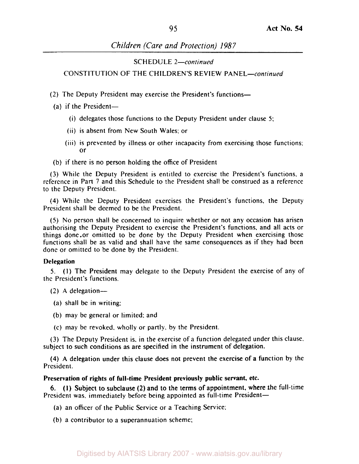SCHEDULE 2-continued

CONSTITUTION **OF** THE CHILDREN'S REVIEW PANEL-continued

- (2) The Deputy President may exercise the President's functions-
- $(a)$  if the President-
	- (i) delegates those functions to the Deputy President under clause *5:*
	- (ii) is absent from New South Wales: or
	- (iii) is prevented by illness or other incapacity from exercising those functions: or
- (b) if there is no person holding the office of President

**(3)** While the Deputy President is entitled to exercise the President's functions, a reference in Part **7** and this Schedule to the President shall be construed as a reference to the Deputy President.

**(4)** While the Deputy President exercises the President's functions, the Deputy President shall be deemed to be the President.

*(5)* No person shall be concerned to inquire whether or not any occasion has arisen authorising the Deputy President to exercise the President's functions. and all acts or things done-or omitted to be done by the Deputy President when exercising those functions shall be as valid and shall have the same consequences as if they had been done or omitted to be done by the President.

#### **Delegation**

**5.**  (I) The President may delegate to the Deputy President the exercise of any of the President's functions.

- $(2)$  A delegation-
- (a) shall be in writing:
- (b) may be general or limited: and
- (c) may be revoked. wholly or partly, by the President.

**(3)** The Deputy President is. in the exercise of a function delegated under this clause. subject to such conditions as are specified in the instrument of delegation.

**(4)** A delegation under this clause does not prevent the exercise **of** a function by the President.

#### **Preservation of rights of full-time President previously public servant, etc.**

President was, immediately before being appointed as full-time President-*6.* (i) Subject to subclause **(2)** and to the terms of appointment, where Ihe full-time

(a) an officer of the Public Service or a Teaching Service;

(b) a contributor to a superannuation scheme;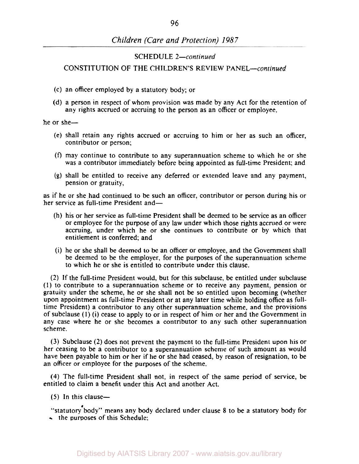## SCHEDULE 2-continued

## CONSTITUTION OF THE CHILDREN'S REVIEW PANEL-continued

- (c) an officer employed by a statutory body; or
- (d) a person in respect of whom provision was made by any Act for the retention of any rights accrued **or** accruing to the person as an officer **or** employee,

he **or** she-

- (e) shall retain any rights accrued **or** accruing to him or her as such an officer, contributor or person;
- **(f)** may continue to contribute to any superannuation scheme to which he **or** she was a contributor immediately before being appointed as full-time President; and
- (g) shall be entitled to receive any deferred **or** extended leave and any payment, pension or gratuity,

as if he **or** she had continued to be such an officer, contributor **or** person during his **or**  her service as full-time President and—

- (h) his or her service as full-time President shall be deemed to be service as an officer **or** employee for the purpose of any law under which those rights accrued or were accruing, under which he or she continues to contribute **or** by which that entitlement is conferred; and
- (i) he **or** she shall be deemed to be an officer or employee, and the Government shall be deemed to be the employer, for the purposes of the superannuation scheme to which he **or** she is entitled to contribute under this clause.

(2) If the full-time President would, but for this subclause, be entitled under subclause (I) to contribute to a superannuation scheme **or** to receive any payment, pension **or**  gratuity under the scheme, he **or** she shall not be **so** entitled upon becoming (whether upon appointment as full-time President **or** at any later time while holding office as fulltime President) a contributor to any other superannuation scheme, and the provisions of subclause **(1)** (i) cease to apply to **or** in respect of him **or** her and the Government in any case where he or she becomes a contributor to any such other superannuation scheme.

**(3)** Subclause (2) does not prevent the payment to the full-time President upon his or her ceasing to be a contributor to a superannuation scheme of such amount as would have been payable to him **or** her if he **or** she had ceased, by reason of resignation, to be an officer **or** employee for the purposes of the scheme.

**(4)** The full-time President shall not, in respect of the same period of service, be entitled to claim a benefit under this Act and another Act.

*(5)* In this clause-

"statutory body" means any body declared under clause *8* to be a statutory body for  $\sim$  the purposes of this Schedule;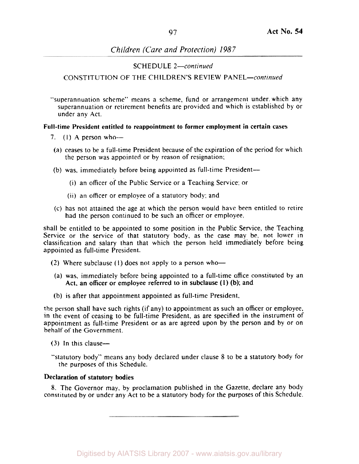## SCHEDULE *2-continued*

## CONSTITUTION OF THE CHILDREN'S REVIEW PANEL-continued

"superannuation scheme" means a scheme, fund or arrangement under. which any superannuation or retirement benefits are provided and which is established by or under any Act.

## **Full-time President entitled to reappointment to former employment in certain cases**

- **7.** (I) A person who--
- (a) ceases to be a full-time President because of the expiration of the period for which the person was appointed or by reason of resignation;
- (b) was, immediately before being appointed as full-time President-
	- (i) an officer of the Public Service or a Teaching Service; or
	- (ii) an officer or employee of a statutory body; and
- had the person continued to be such an officer or employee, (c) has not attained the age at which the person would have been entitled to retire

shall be entitled to be appointed to some position in the Public Service, the Teaching Service or the service of that statutory body, as the case may be, not lower in classification and salary than that which the person held immediately before being appointed as full-time President.

- (2) Where subclause (1) does not apply to a person who-
- (a) was, immediately before being appointed to a full-time office constituted by an Act. an officer or employee referred to in subclause (I) (b); and
- (b) is after that appointment appointed as full-time President,

the person shall have such rights (if any) to appointment as such an officer or employee, in the event of ceasing to be full-time President, as are specified in the instrument of appointment as full-time President or as are agreed upon by the person and by or on behalf of the Government.

- **(3)** In this clause-
- "statutory body" means any body declared under clause **8** to be a statutory body for the purposes of this Schedule.

## **Declaration of statutory bodies**

**8.** The Governor may. by proclamation published in the Gazette, declare any body constituted by or under any Act to be a statutory body for the purposes of this Schedule.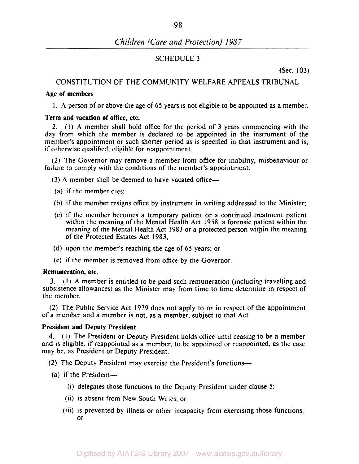## SCHEDULE 3

(Sec. 103)

## CONSTITUTION OF THE COMMUNITY WELFARE APPEALS TRIBUNAL

### **Age of members**

I. A person of or above the age of *65* years is not eligible to be appointed as a member.

### **Term and vacation of office, etc.**

2. (I) A member shall hold office for the period of 3 years commencing with the day from which the member is declared to be appointed in the instrument of the member's appointment or such shorter period as is specified in that instrument and is, if otherwise qualified, eligible for reappointment.

(2) The Governor may remove a member from office for inability, misbehaviour or failure to comply with the conditions of the member's appointment.

(3) A member shall be deemed to have vacated office-

- (a) if the member dies;
- (b) if the member resigns office by instrument in writing addressed to the Minister;
- (c) if the member becomes a temporary patient or a continued treatment patient within the meaning of the Mental Health Act 1958, a forensic patient within the meaning of the Mental Health Act 1983 or a protected person within the meaning of the Protected Estates Act 1983;
- (d) upon the member's reaching the age of *65* years; or
- (e) if the member is removed from office by the Governor.

#### **Remuneration, etc.**

(1) A member is entitled to be paid such remuneration (including travelling and 3. subsistence allowances) as the Minister may from time to time determine in respect of the member.

(2) The Public Service Act 1979 does not apply to or in respect of the appointment of a member and a member is not, as a member, subject to that Act.

## **President and Deputy President**

(I) The President or Deputy President holds office until ceasing to be a member **4.**  and is eligible, if reappointed as a member, to be appointed or reappointed, as the case may be, as President or Deputy President.

- (2) The Deputy President may exercise the President's functions-
- (a) if the President $-$ 
	- (i) delegates those functions to the Deputy President under clause *5;*
	- (ii) is absent from New South Wales; or
	- (iii) is prevented by illness or other incapacity from exercising those functions; or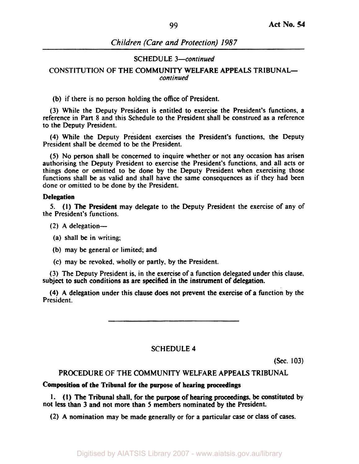### SCHEDULE *3-continued*

## *continued*  CONSTITUTION OF THE COMMUNITY WELFARE APPEALS TRIBUNAL-

(b) if there is no person holding the office of President.

*(3)* While the Deputy President is entitled to exercise the President's functions. a reference in Part 8 and this Schedule to the President shall be construed as a reference to the Deputy President.

**(4)** While the Deputy President exercises the President's functions. the Deputy President shall be deemed to be the President.

*(5)* No person shall be concerned to inquire whether or not any occasion has arisen authorising the Deputy President to exercise the President's functions, and all acts or things done or omitted to be done by the Deputy President when exercising those functions shall be as valid and shall have the same consequences as if they had been done or omitted to be done by the President.

#### **Delegation**

**5.**  (I) The President may delegate to the Deputy President the exercise of any of the President's functions.

- (2) **A** delegation-
- (a) shall be in writing;
- (b) may be general or limited; and
- **(c)** may be revoked, wholly or partly, by the President.

(3) The Deputy President is, in the exercise of a function delegated under this clause, subject to such conditions as are specified in the instrument of delegation.

**(4) A** delegation under this clause does not prevent the exercise of a function by the President.

## SCHEDULE **4**

(Sec. *103)* 

## PROCEDURE OF THE COMMUNITY WELFARE APPEALS TRIBUNAL

#### **Composition of the Tribunal for the purpose of hearing proceedings**

not **less** than 3 and not more than *5* members nominated by the President. **1. (1)** The Tribunal shall. for the purpose of hearing proceedings, be constituted by

(2) A nomination may be made generally or for a particular case or class of cases.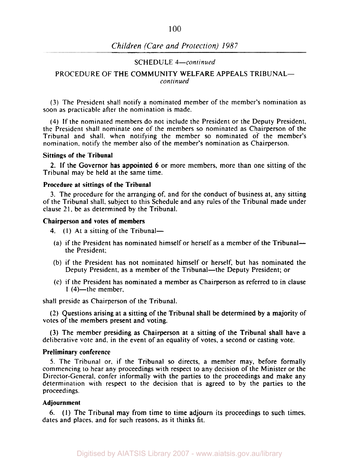### SCHEDULE 4-continued

#### continued PROCEDURE OF THE COMMUNITY WELFARE APPEALS TRIBUNAL-

(3) The President shall notify a nominated member of the member's nomination as soon as practicable after the nomination is made.

(4) If the nominated members do not include the President or the Deputy President, the President shall nominate one of the members so nominated as Chairperson of the Tribunal and shall, when notifying the member so nominated of the member's nomination, notify the member also of the member's nomination as Chairperson.

#### Sittings of the Tribunal

Tribunal may be held at the same time. 2. If the Governor has appointed 6 or more members, more than one sitting of the

#### Procedure at sittings of the Tribunal

3. The procedure for the arranging of, and for the conduct of business at, any sitting of the Tribunal shall, subject to this Schedule and any rules of the Tribunal made under clause 21, be as determined by the Tribunal.

#### Chairperson and votes of members

- 4.  $(1)$  At a sitting of the Tribunal-
- (a) if the President has nominated himself or herself as a member of the Tribunalthe President;
- (b) if the President has not nominated himself or herself, but has nominated the Deputy President, as a member of the Tribunal—the Deputy President; or
- (c) if the President has nominated a member as Chairperson as referred to in clause  $1(4)$ -the member.

shall preside as Chairperson of the Tribunal.

votes of the members present and voting, (2) Questions arising at a sitting of the Tribunal shall be determined by a majority of

deliberative vote and, in the event of an equality of votes, a second or casting vote. (3) The member presiding as Chairperson at a sitting of the Tribunal shall have a

### Preliminary conference

*5.* The Tribunal or. if the Tribunal so directs, a member may, before formally commencing to hear any proceedings with respect to any decision of the Minister or the Director-General, confer informally with the parties to the proceedings and make any determination with respect to the decision that is agreed to by the parties to the proceedings.

## Adjournment

dates and places. and for such reasons, as it thinks fit. *6.* (1) The Tribunal may from time to time adjourn its proceedings to such times,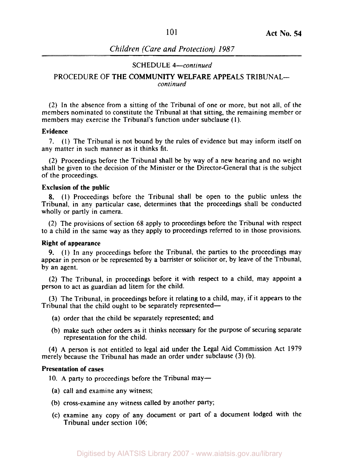#### SCHEDULE *4-continued*

## *continued*  PROCEDURE OF THE COMMUNITY WELFARE APPEALS TRIBUNAL-

(2) In the absence from a sitting of the Tribunal of one or more, but not all, of the members nominated to constitute the Tribunal at that sitting, the remaining member or members may exercise the Tribunal's function under subclause ( 1).

#### Evidence

7. (1) The Tribunal is not bound by the rules of evidence but may inform itself on any matter in such manner as it thinks fit.

(2) Proceedings before the Tribunal shall be by way of a new hearing and no weight shall be given to the decision of the Minister or the Director-General that is the subject of the proceedings.

#### Exclusion of the public

(1) Proceedings before the Tribunal shall be open to the public unless the 8. Tribunal, in any particular case, determines that the proceedings shall be conducted wholly or partly in camera.

(2) The provisions of section 68 apply to proceedings before the Tribunal with respect to a child in the same way as they apply to proceedings referred to in those provisions.

#### Right of appearance

(1) In any proceedings before the Tribunal, the parties to the proceedings may 9. appear in person or be represented by a barrister or solicitor or, by leave of the Tribunal, by an agent.

(2) The Tribunal, in proceedings before it with respect to a child, may appoint a person to act as guardian ad litem for the child.

(3) The Tribunal, in proceedings before it relating to a child, may, if it appears to the Tribunal that the child ought to be separately represented-

- (a) order that the child be separately represented; and
- (b) make such other orders as it thinks necessary for the purpose of securing separate representation for the child.

*(4)* A person is not entitled to legal aid under the Legal Aid Commission Act 1979 merely because the Tribunal has made an order under subclause (3) (b).

#### Presentation of cases

10. A party to proceedings before the Tribunal may-

- **(a)** call and examine any witness;
- (b) cross-examine any witness called by another party;
- (c) examine any copy of any document or part of a document lodged with the Tribunal under section 106;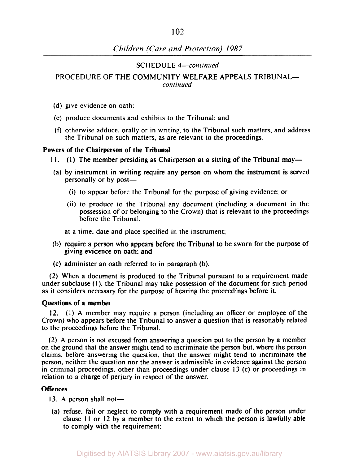## SCHEDULE *4-continued*

# PROCEDURE OF THE COMMUNITY WELFARE APPEALS TRIBUNAL-

*continued* 

- (d) give evidence on oath;
- (e) produce documents and exhibits to the Tribunal; and
- **(9** otherwise adduce. orally or in writing, to the Tribunal such matters, and address the Tribunal on such matters, as are relevant to the proceedings.

## **Powers of the Chairperson of the Tribunal**

- I **1.**  (I) The member presiding as Chairperson at a sitting of the Tribunal may-
- (a) by instrument in writing require any person on whom the instrument is served personally or by post-
	- (i) to appear before the Tribunal for the purpose of giving evidence: or
	- (ii) to produce to the Tribunal any document (including a document in the possession of or belonging to the Crown) that is relevant to the proceedings before the Tribunal.

at a time. date and place specified in the instrument;

- giving evidence on oath; and (b) require a person who appears before the Tribunal to be sworn for the purpose of
- (c) administer an oath referred to in paragraph (b).

(2) When a document is produced to the Tribunal pursuant to a requirement made under subclause (1), the Tribunal may take possession of the document for such period as it considers necessary for the purpose of hearing the proceedings before it.

## **Questions of a member**

**(1)** A member may require a person (including an officer or employee of the **12.**  Crown) who appears before the Tribunal to answer a question that is reasonably related to the proceedings before the Tribunal.

(2) A person is not excused from answering a question put to the person by a member on the ground that the answer might tend to incriminate the person but, where the person claims. before answering the question, that the answer might tend to incriminate the person. neither the question nor the answer is admissible in evidence against the person in criminal proceedings. other than proceedings under clause 13 (c) or proceedings in relation **to** a charge of perjury in respect of the answer.

## **Offences**

13. A person shall not-

(a) refuse, fail or neglect to comply with a requirement made of the person under clause I I or 12 by a member to the extent to which the person is lawfully able to comply with the requirement;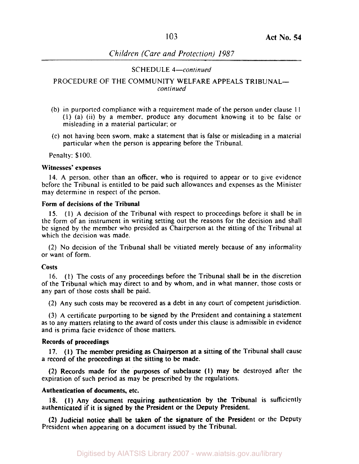### SCHEDULE *4-continued*

### PROCEDURE OF THE COMMUNITY WELFARE APPEALS TRIBUNAL*continucd*

- (b) in purported compliance with a requirement made of the person under clause I I (I) (a) (ii) by a member. produce any document knowing it to be false or misleading in a material particular; or
- (c) not having been sworn, make a statement that is false or misleading in a material particular when the person is appearing before the Tribunal.

Penalty: \$100.

#### **Witnesses' expenses**

**14.** A person, other than an officer, who is required to appear or to give evidence before the Tribunal is entitled to be paid such allowances and expenses as the Minister may determine in respect of the person.

## **Form of decisions of the Tribunal**

(I) A decision of the Tribunal with respect to proceedings before it shall be in **15.**  the form of an instrument in writing setting out the reasons for the decision and shall be signed by the member who presided as Chairperson at the sitting of the Tribunal at which the decision was made.

(2) No decision of the Tribunal shall be vitiated merely because of any informality or want of form.

#### **costs**

16. (I) The costs of any proceedings before the Tribunal shall be in the discretion of the Tribunal which may direct to and by whom, and in what manner, those costs or any part of those costs shall be paid.

(2) Any such costs may be recovered as a debt in any court of competent jurisdiction.

(3) A certificate purporting to be signed by the President and containing a statement as to any matters relating to the award of costs under this clause is admissible in evidence and is prima facie evidence of those matters.

#### **Records of proceedings**

a record of the proceedings at the sitting to be made. 17. (I) The member presiding as Chairperson at a sitting of the Tribunal shall cause

expiration of such period as may be prescribed by the regulations. (2) Records made for the purposes of subclause (I) may be destroyed after the

## **Authentication of documents, etc.**

authenticated if it is signed by the President or the Deputy President. 18. (I) Any document requiring authentication by the Tribunal is sufficiently

President when appearing on a document issued by the Tribunal. (2) Judicial notice shall be taken of the signature of the President or the Deputy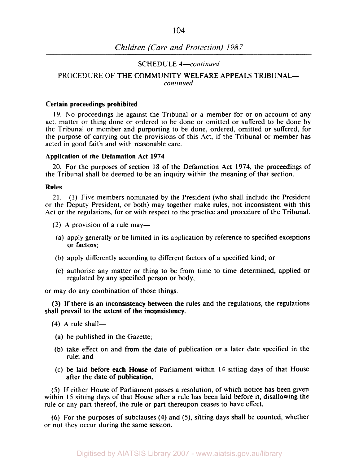## SCHEDULE *4-continued*

#### *continued*  PROCEDURE OF THE COMMUNITY WELFARE APPEALS TRIBUNAL-

#### Certain proceedings prohibited

19. No proceedings lie against the Tribunal or a member for or on account of any act. matter or thing done or ordered to be done or omitted or suffered to be done by the Tribunal or member and purporting to be done, ordered, omitted or suffered, for the purpose of carrying out the provisions of this Act, if the Tribunal or member has acted in good faith and with reasonable care.

#### Application of the Defamation Act **1974**

the Tribunal shall be deemed to be an inquiry within the meaning of that section. 20. For the purposes of section **18** of the Defamation Act *1974,* the proceedings of

#### Rules

21. (1) Five members nominated by the President (who shall include the President or the Deputy President, or both) may together make rules, not inconsistent with this Act or the regulations, for or with respect to the practice and procedure of the Tribunal.

- (2) A provision of a rule may-
- (a) apply generally or be limited in its application by reference to specified exceptions or factors;
- (b) apply differently according to different factors of a specified kind; or
- (c) authorise any matter or thing to be from time to time determined, applied or regulated by any specified person or body,

or may do any combination of those things.

shall prevail to the extent of the inconsistency. (3) If there is an inconsistency between the rules and the regulations, the regulations

- $(4)$  A rule shall-
- (a) be published in the Gazette;
- (b) take effect on and from the date of publication or a later date specified in the rule; and
- (c) be laid before each House of Parliament within *14* sitting days of that House after the date of publication.

*(5)* If either House of Parliament passes a resolution, of which notice has been given within **15** sitting days of that House after a rule has been laid before it, disallowing the rule or any part thereof, the rule or part thereupon ceases to have effect.

(6) For the purposes of subclauses **(4)** and **(5),** sitting days shall be counted, whether or not they occur during the same session.